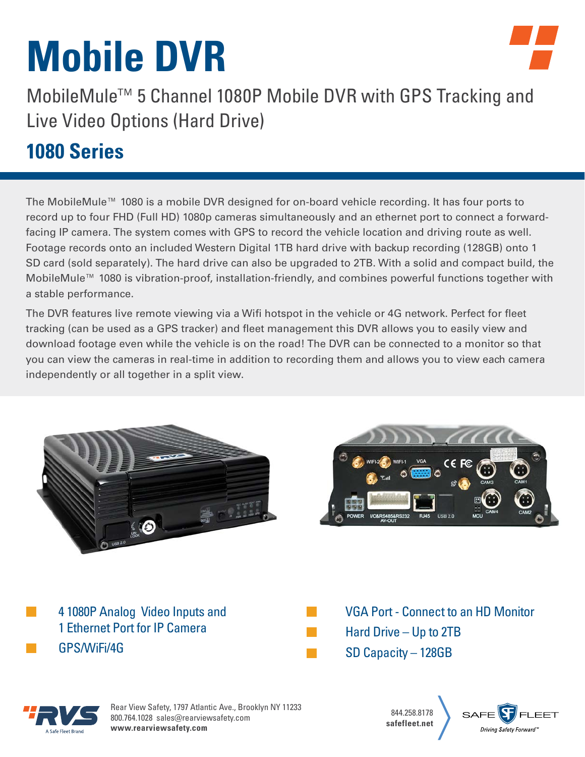# **Mobile DVR**



MobileMule™ 5 Channel 1080P Mobile DVR with GPS Tracking and Live Video Options (Hard Drive)

### **1080 Series**

The MobileMule™ 1080 is a mobile DVR designed for on-board vehicle recording. It has four ports to record up to four FHD (Full HD) 1080p cameras simultaneously and an ethernet port to connect a forwardfacing IP camera. The system comes with GPS to record the vehicle location and driving route as well. Footage records onto an included Western Digital 1TB hard drive with backup recording (128GB) onto 1 SD card (sold separately). The hard drive can also be upgraded to 2TB. With a solid and compact build, the MobileMule™ 1080 is vibration-proof, installation-friendly, and combines powerful functions together with a stable performance.

The DVR features live remote viewing via a Wifi hotspot in the vehicle or 4G network. Perfect for fleet tracking (can be used as a GPS tracker) and fleet management this DVR allows you to easily view and download footage even while the vehicle is on the road! The DVR can be connected to a monitor so that you can view the cameras in real-time in addition to recording them and allows you to view each camera independently or all together in a split view.









Rear View Safety, 1797 Atlantic Ave., Brooklyn NY 11233 800.764.1028 sales@rearviewsafety.com **[www.rearviewsafety.com](http://www.RearViewSafety.com)**

844.258.8178 **safefleet.net**